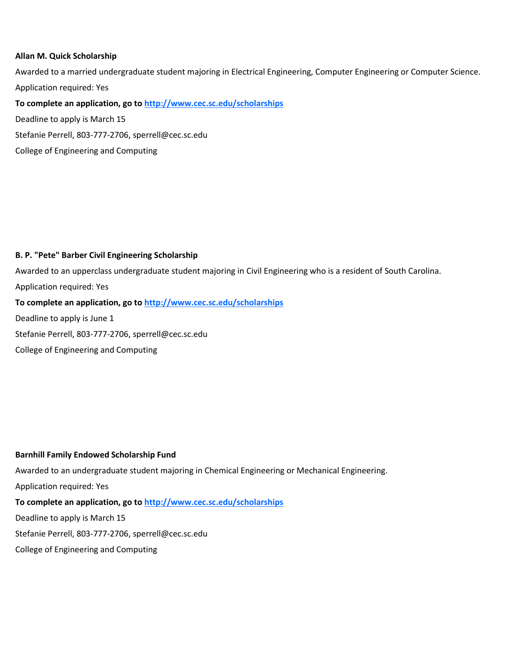### **Allan M. Quick Scholarship**

Awarded to a married undergraduate student majoring in Electrical Engineering, Computer Engineering or Computer Science. Application required: Yes

**To complete an application, go to http://www.cec.sc.edu/scholarships**

Deadline to apply is March 15

Stefanie Perrell, 803-777-2706, sperrell@cec.sc.edu

College of Engineering and Computing

### **B. P. "Pete" Barber Civil Engineering Scholarship**

Awarded to an upperclass undergraduate student majoring in Civil Engineering who is a resident of South Carolina.

Application required: Yes

### **To complete an application, go to http://www.cec.sc.edu/scholarships**

Deadline to apply is June 1 Stefanie Perrell, 803-777-2706, sperrell@cec.sc.edu

College of Engineering and Computing

### **Barnhill Family Endowed Scholarship Fund**

Awarded to an undergraduate student majoring in Chemical Engineering or Mechanical Engineering.

Application required: Yes

# **To complete an application, go to http://www.cec.sc.edu/scholarships**

Deadline to apply is March 15

Stefanie Perrell, 803-777-2706, sperrell@cec.sc.edu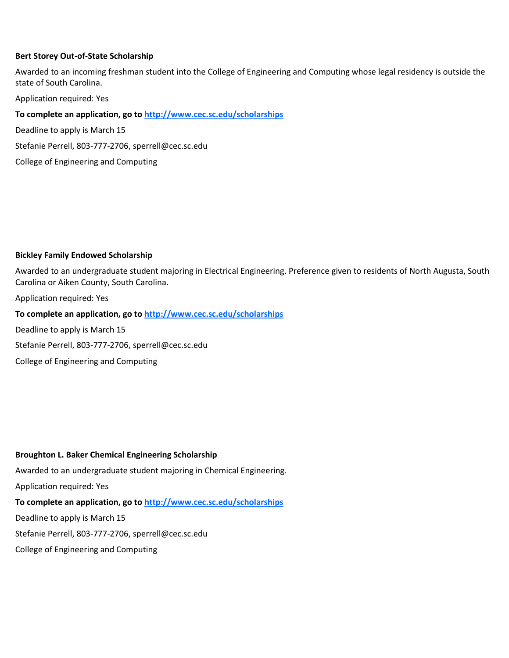### **Bert Storey Out-of-State Scholarship**

Awarded to an incoming freshman student into the College of Engineering and Computing whose legal residency is outside the state of South Carolina.

Application required: Yes

**To complete an application, go to http://www.cec.sc.edu/scholarships**

Deadline to apply is March 15

Stefanie Perrell, 803-777-2706, sperrell@cec.sc.edu

College of Engineering and Computing

### **Bickley Family Endowed Scholarship**

Awarded to an undergraduate student majoring in Electrical Engineering. Preference given to residents of North Augusta, South Carolina or Aiken County, South Carolina.

Application required: Yes

**To complete an application, go to http://www.cec.sc.edu/scholarships**

Deadline to apply is March 15

Stefanie Perrell, 803-777-2706, sperrell@cec.sc.edu

College of Engineering and Computing

### **Broughton L. Baker Chemical Engineering Scholarship**

Awarded to an undergraduate student majoring in Chemical Engineering.

Application required: Yes

# **To complete an application, go to http://www.cec.sc.edu/scholarships**

Deadline to apply is March 15

Stefanie Perrell, 803-777-2706, sperrell@cec.sc.edu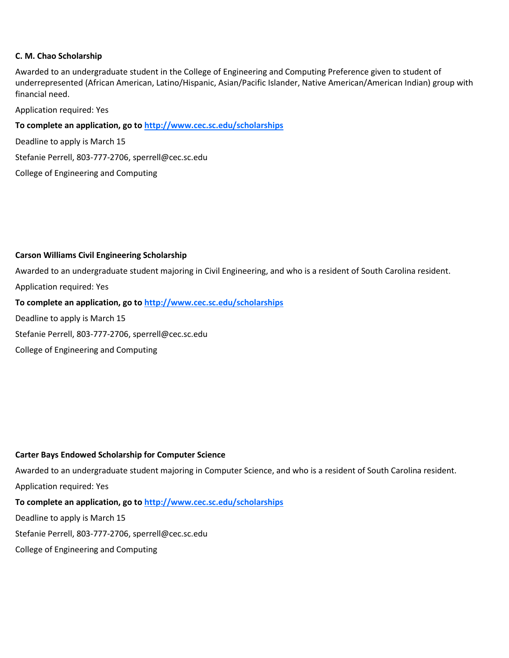### **C. M. Chao Scholarship**

Awarded to an undergraduate student in the College of Engineering and Computing Preference given to student of underrepresented (African American, Latino/Hispanic, Asian/Pacific Islander, Native American/American Indian) group with financial need.

Application required: Yes

### **To complete an application, go to http://www.cec.sc.edu/scholarships**

Deadline to apply is March 15

Stefanie Perrell, 803-777-2706, sperrell@cec.sc.edu

College of Engineering and Computing

### **Carson Williams Civil Engineering Scholarship**

Awarded to an undergraduate student majoring in Civil Engineering, and who is a resident of South Carolina resident.

Application required: Yes

**To complete an application, go to http://www.cec.sc.edu/scholarships**

Deadline to apply is March 15

Stefanie Perrell, 803-777-2706, sperrell@cec.sc.edu

College of Engineering and Computing

### **Carter Bays Endowed Scholarship for Computer Science**

Awarded to an undergraduate student majoring in Computer Science, and who is a resident of South Carolina resident. Application required: Yes

# **To complete an application, go to http://www.cec.sc.edu/scholarships**

Deadline to apply is March 15

Stefanie Perrell, 803-777-2706, sperrell@cec.sc.edu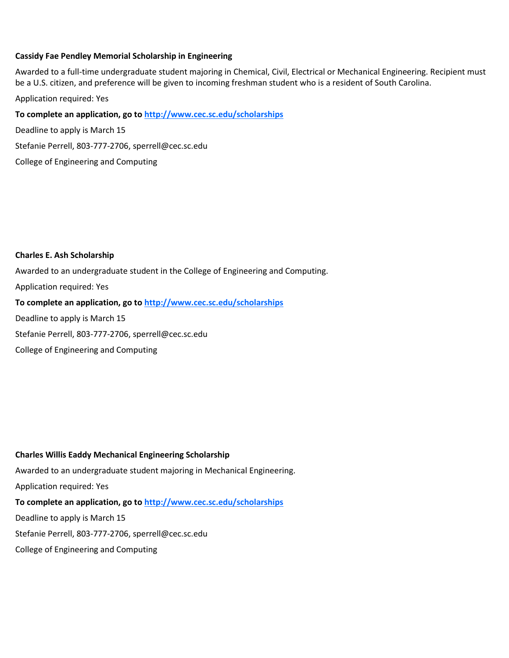### **Cassidy Fae Pendley Memorial Scholarship in Engineering**

Awarded to a full-time undergraduate student majoring in Chemical, Civil, Electrical or Mechanical Engineering. Recipient must be a U.S. citizen, and preference will be given to incoming freshman student who is a resident of South Carolina.

Application required: Yes

**To complete an application, go to http://www.cec.sc.edu/scholarships**

Deadline to apply is March 15

Stefanie Perrell, 803-777-2706, sperrell@cec.sc.edu

College of Engineering and Computing

### **Charles E. Ash Scholarship**

Awarded to an undergraduate student in the College of Engineering and Computing. Application required: Yes **To complete an application, go to http://www.cec.sc.edu/scholarships** Deadline to apply is March 15 Stefanie Perrell, 803-777-2706, sperrell@cec.sc.edu College of Engineering and Computing

# **Charles Willis Eaddy Mechanical Engineering Scholarship**

Awarded to an undergraduate student majoring in Mechanical Engineering.

Application required: Yes

# **To complete an application, go to http://www.cec.sc.edu/scholarships**

Deadline to apply is March 15

Stefanie Perrell, 803-777-2706, sperrell@cec.sc.edu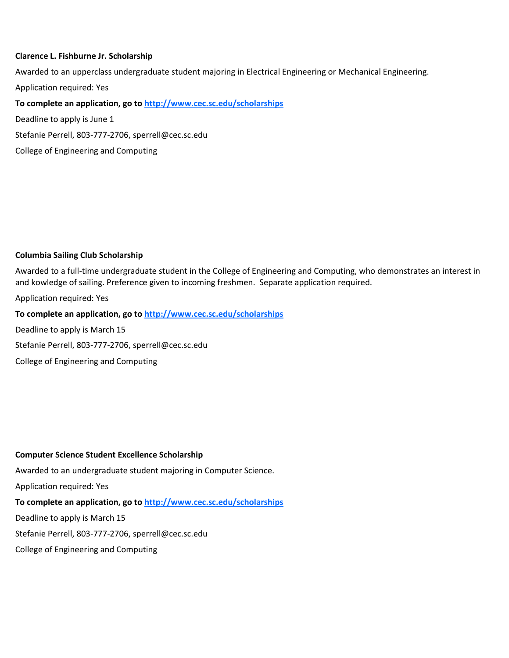### **Clarence L. Fishburne Jr. Scholarship**

Awarded to an upperclass undergraduate student majoring in Electrical Engineering or Mechanical Engineering.

Application required: Yes

**To complete an application, go to http://www.cec.sc.edu/scholarships**

Deadline to apply is June 1

Stefanie Perrell, 803-777-2706, sperrell@cec.sc.edu

College of Engineering and Computing

### **Columbia Sailing Club Scholarship**

Awarded to a full-time undergraduate student in the College of Engineering and Computing, who demonstrates an interest in and kowledge of sailing. Preference given to incoming freshmen. Separate application required.

Application required: Yes

### **To complete an application, go to http://www.cec.sc.edu/scholarships**

Deadline to apply is March 15

Stefanie Perrell, 803-777-2706, sperrell@cec.sc.edu

College of Engineering and Computing

### **Computer Science Student Excellence Scholarship**

Awarded to an undergraduate student majoring in Computer Science.

Application required: Yes

# **To complete an application, go to http://www.cec.sc.edu/scholarships**

Deadline to apply is March 15

Stefanie Perrell, 803-777-2706, sperrell@cec.sc.edu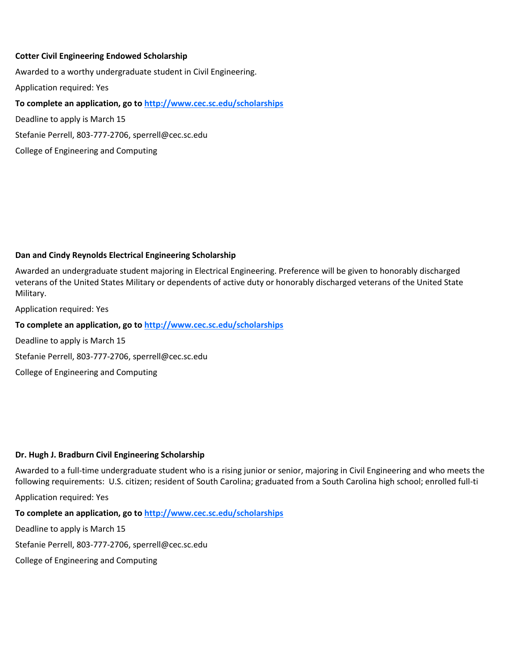### **Cotter Civil Engineering Endowed Scholarship**

Awarded to a worthy undergraduate student in Civil Engineering.

Application required: Yes

**To complete an application, go to http://www.cec.sc.edu/scholarships**

Deadline to apply is March 15

Stefanie Perrell, 803-777-2706, sperrell@cec.sc.edu

College of Engineering and Computing

# **Dan and Cindy Reynolds Electrical Engineering Scholarship**

Awarded an undergraduate student majoring in Electrical Engineering. Preference will be given to honorably discharged veterans of the United States Military or dependents of active duty or honorably discharged veterans of the United State Military.

Application required: Yes

**To complete an application, go to http://www.cec.sc.edu/scholarships**

Deadline to apply is March 15

Stefanie Perrell, 803-777-2706, sperrell@cec.sc.edu

College of Engineering and Computing

### **Dr. Hugh J. Bradburn Civil Engineering Scholarship**

Awarded to a full-time undergraduate student who is a rising junior or senior, majoring in Civil Engineering and who meets the following requirements: U.S. citizen; resident of South Carolina; graduated from a South Carolina high school; enrolled full-ti

Application required: Yes

**To complete an application, go to http://www.cec.sc.edu/scholarships**

Deadline to apply is March 15

Stefanie Perrell, 803-777-2706, sperrell@cec.sc.edu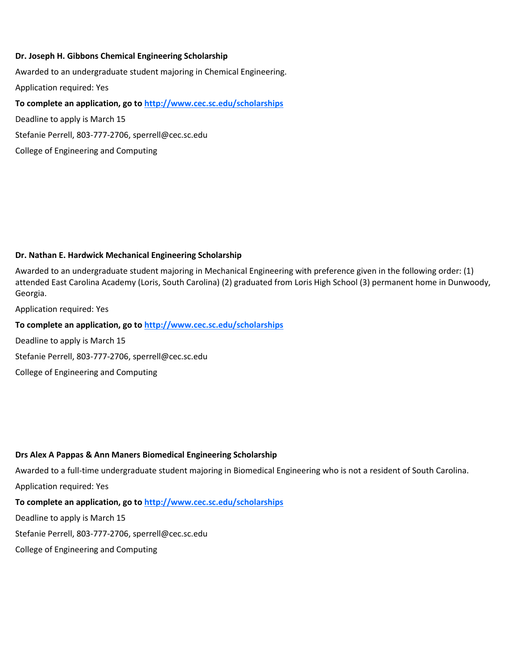### **Dr. Joseph H. Gibbons Chemical Engineering Scholarship**

Awarded to an undergraduate student majoring in Chemical Engineering. Application required: Yes

**To complete an application, go to http://www.cec.sc.edu/scholarships**

Deadline to apply is March 15

Stefanie Perrell, 803-777-2706, sperrell@cec.sc.edu

College of Engineering and Computing

### **Dr. Nathan E. Hardwick Mechanical Engineering Scholarship**

Awarded to an undergraduate student majoring in Mechanical Engineering with preference given in the following order: (1) attended East Carolina Academy (Loris, South Carolina) (2) graduated from Loris High School (3) permanent home in Dunwoody, Georgia.

Application required: Yes

**To complete an application, go to http://www.cec.sc.edu/scholarships**

Deadline to apply is March 15

Stefanie Perrell, 803-777-2706, sperrell@cec.sc.edu

College of Engineering and Computing

### **Drs Alex A Pappas & Ann Maners Biomedical Engineering Scholarship**

Awarded to a full-time undergraduate student majoring in Biomedical Engineering who is not a resident of South Carolina. Application required: Yes

### **To complete an application, go to http://www.cec.sc.edu/scholarships**

Deadline to apply is March 15

Stefanie Perrell, 803-777-2706, sperrell@cec.sc.edu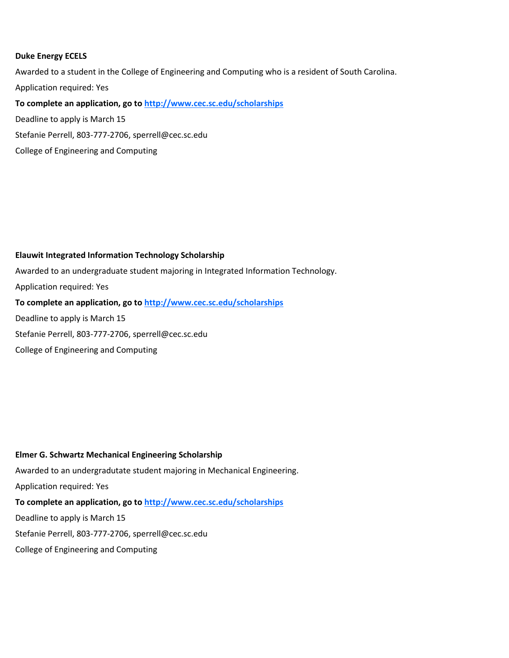### **Duke Energy ECELS**

Awarded to a student in the College of Engineering and Computing who is a resident of South Carolina. Application required: Yes **To complete an application, go to http://www.cec.sc.edu/scholarships** Deadline to apply is March 15 Stefanie Perrell, 803-777-2706, sperrell@cec.sc.edu

# **Elauwit Integrated Information Technology Scholarship**

College of Engineering and Computing

Awarded to an undergraduate student majoring in Integrated Information Technology. Application required: Yes **To complete an application, go to http://www.cec.sc.edu/scholarships** Deadline to apply is March 15 Stefanie Perrell, 803-777-2706, sperrell@cec.sc.edu College of Engineering and Computing

### **Elmer G. Schwartz Mechanical Engineering Scholarship**

Awarded to an undergradutate student majoring in Mechanical Engineering. Application required: Yes **To complete an application, go to http://www.cec.sc.edu/scholarships** Deadline to apply is March 15 Stefanie Perrell, 803-777-2706, sperrell@cec.sc.edu College of Engineering and Computing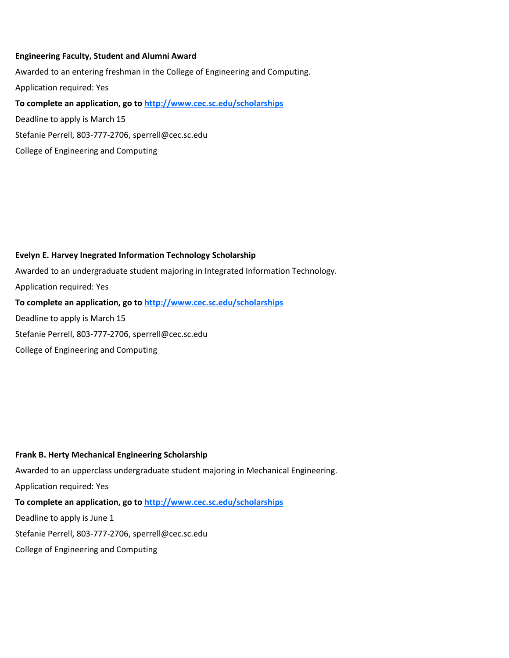### **Engineering Faculty, Student and Alumni Award**

College of Engineering and Computing

Awarded to an entering freshman in the College of Engineering and Computing. Application required: Yes **To complete an application, go to http://www.cec.sc.edu/scholarships** Deadline to apply is March 15 Stefanie Perrell, 803-777-2706, sperrell@cec.sc.edu

**Evelyn E. Harvey Inegrated Information Technology Scholarship** Awarded to an undergraduate student majoring in Integrated Information Technology. Application required: Yes

**To complete an application, go to http://www.cec.sc.edu/scholarships**

Deadline to apply is March 15

Stefanie Perrell, 803-777-2706, sperrell@cec.sc.edu

College of Engineering and Computing

**Frank B. Herty Mechanical Engineering Scholarship**

Awarded to an upperclass undergraduate student majoring in Mechanical Engineering. Application required: Yes **To complete an application, go to http://www.cec.sc.edu/scholarships** Deadline to apply is June 1 Stefanie Perrell, 803-777-2706, sperrell@cec.sc.edu College of Engineering and Computing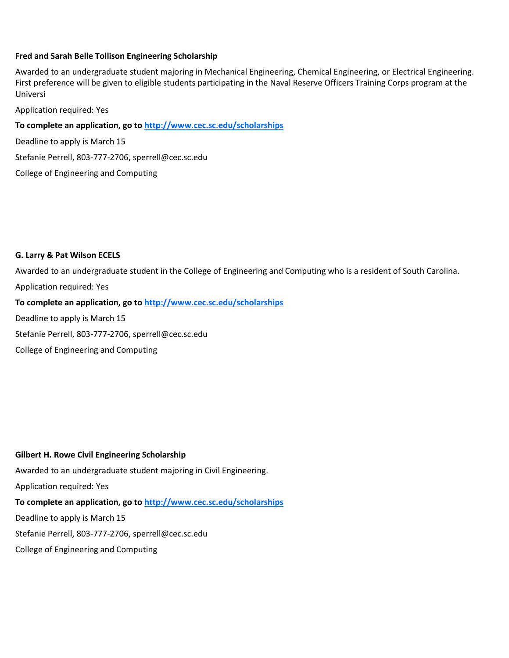### **Fred and Sarah Belle Tollison Engineering Scholarship**

Awarded to an undergraduate student majoring in Mechanical Engineering, Chemical Engineering, or Electrical Engineering. First preference will be given to eligible students participating in the Naval Reserve Officers Training Corps program at the Universi

Application required: Yes

**To complete an application, go to http://www.cec.sc.edu/scholarships**

Deadline to apply is March 15

Stefanie Perrell, 803-777-2706, sperrell@cec.sc.edu

College of Engineering and Computing

### **G. Larry & Pat Wilson ECELS**

Awarded to an undergraduate student in the College of Engineering and Computing who is a resident of South Carolina. Application required: Yes

**To complete an application, go to http://www.cec.sc.edu/scholarships**

Deadline to apply is March 15

Stefanie Perrell, 803-777-2706, sperrell@cec.sc.edu

College of Engineering and Computing

**Gilbert H. Rowe Civil Engineering Scholarship**

Awarded to an undergraduate student majoring in Civil Engineering.

Application required: Yes

# **To complete an application, go to http://www.cec.sc.edu/scholarships**

Deadline to apply is March 15

Stefanie Perrell, 803-777-2706, sperrell@cec.sc.edu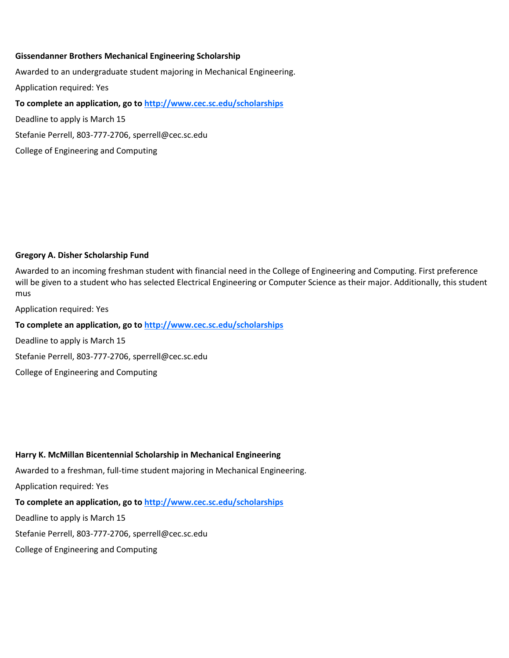### **Gissendanner Brothers Mechanical Engineering Scholarship**

Awarded to an undergraduate student majoring in Mechanical Engineering. Application required: Yes **To complete an application, go to http://www.cec.sc.edu/scholarships** Deadline to apply is March 15 Stefanie Perrell, 803-777-2706, sperrell@cec.sc.edu

College of Engineering and Computing

### **Gregory A. Disher Scholarship Fund**

Awarded to an incoming freshman student with financial need in the College of Engineering and Computing. First preference will be given to a student who has selected Electrical Engineering or Computer Science as their major. Additionally, this student mus

Application required: Yes

**To complete an application, go to http://www.cec.sc.edu/scholarships**

Deadline to apply is March 15

Stefanie Perrell, 803-777-2706, sperrell@cec.sc.edu

College of Engineering and Computing

**Harry K. McMillan Bicentennial Scholarship in Mechanical Engineering**

Awarded to a freshman, full-time student majoring in Mechanical Engineering.

Application required: Yes

### **To complete an application, go to http://www.cec.sc.edu/scholarships**

Deadline to apply is March 15

Stefanie Perrell, 803-777-2706, sperrell@cec.sc.edu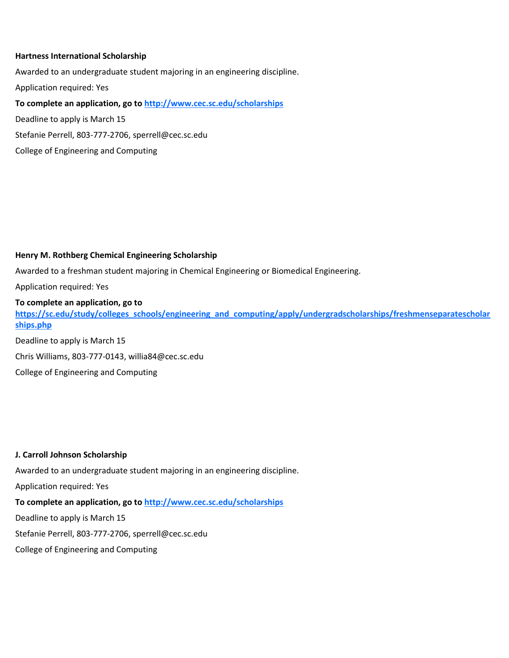### **Hartness International Scholarship**

Awarded to an undergraduate student majoring in an engineering discipline.

Application required: Yes

**To complete an application, go to http://www.cec.sc.edu/scholarships**

Deadline to apply is March 15

Stefanie Perrell, 803-777-2706, sperrell@cec.sc.edu

College of Engineering and Computing

### **Henry M. Rothberg Chemical Engineering Scholarship**

Awarded to a freshman student majoring in Chemical Engineering or Biomedical Engineering.

Application required: Yes

### **To complete an application, go to**

**https://sc.edu/study/colleges\_schools/engineering\_and\_computing/apply/undergradscholarships/freshmenseparatescholar ships.php**

Deadline to apply is March 15

Chris Williams, 803-777-0143, willia84@cec.sc.edu

College of Engineering and Computing

#### **J. Carroll Johnson Scholarship**

Awarded to an undergraduate student majoring in an engineering discipline.

Application required: Yes

# **To complete an application, go to http://www.cec.sc.edu/scholarships**

Deadline to apply is March 15

Stefanie Perrell, 803-777-2706, sperrell@cec.sc.edu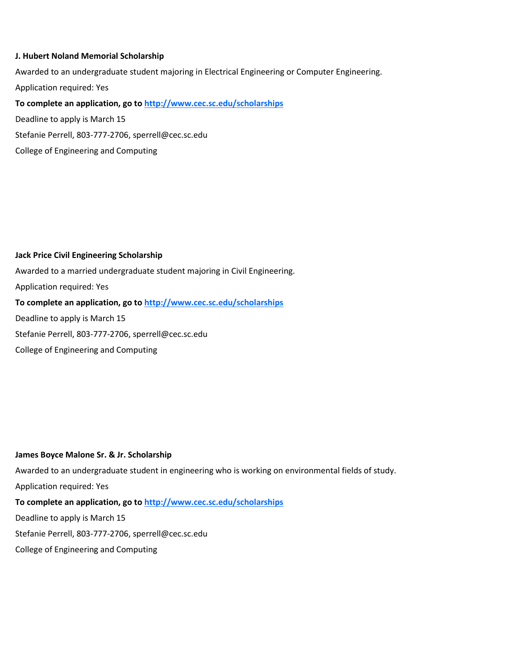### **J. Hubert Noland Memorial Scholarship**

Awarded to an undergraduate student majoring in Electrical Engineering or Computer Engineering. Application required: Yes **To complete an application, go to http://www.cec.sc.edu/scholarships** Deadline to apply is March 15

Stefanie Perrell, 803-777-2706, sperrell@cec.sc.edu

College of Engineering and Computing

### **Jack Price Civil Engineering Scholarship**

Awarded to a married undergraduate student majoring in Civil Engineering. Application required: Yes **To complete an application, go to http://www.cec.sc.edu/scholarships** Deadline to apply is March 15 Stefanie Perrell, 803-777-2706, sperrell@cec.sc.edu College of Engineering and Computing

### **James Boyce Malone Sr. & Jr. Scholarship**

Awarded to an undergraduate student in engineering who is working on environmental fields of study. Application required: Yes **To complete an application, go to http://www.cec.sc.edu/scholarships** Deadline to apply is March 15

Stefanie Perrell, 803-777-2706, sperrell@cec.sc.edu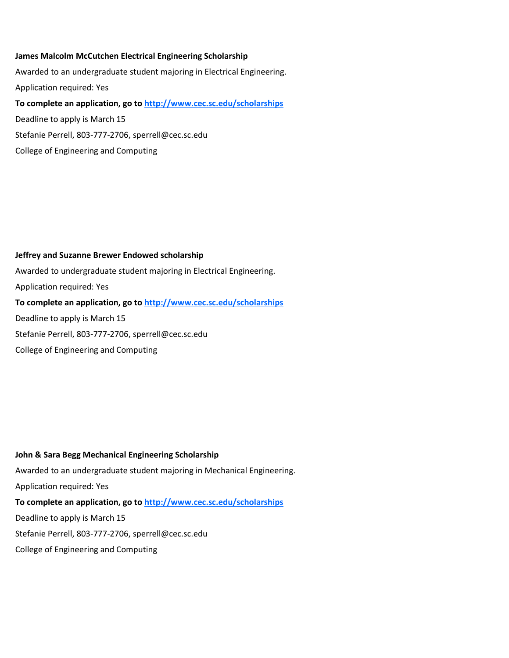### **James Malcolm McCutchen Electrical Engineering Scholarship**

Awarded to an undergraduate student majoring in Electrical Engineering. Application required: Yes **To complete an application, go to http://www.cec.sc.edu/scholarships** Deadline to apply is March 15 Stefanie Perrell, 803-777-2706, sperrell@cec.sc.edu

# **Jeffrey and Suzanne Brewer Endowed scholarship**

College of Engineering and Computing

Awarded to undergraduate student majoring in Electrical Engineering. Application required: Yes **To complete an application, go to http://www.cec.sc.edu/scholarships** Deadline to apply is March 15 Stefanie Perrell, 803-777-2706, sperrell@cec.sc.edu College of Engineering and Computing

**John & Sara Begg Mechanical Engineering Scholarship** Awarded to an undergraduate student majoring in Mechanical Engineering. Application required: Yes **To complete an application, go to http://www.cec.sc.edu/scholarships** Deadline to apply is March 15 Stefanie Perrell, 803-777-2706, sperrell@cec.sc.edu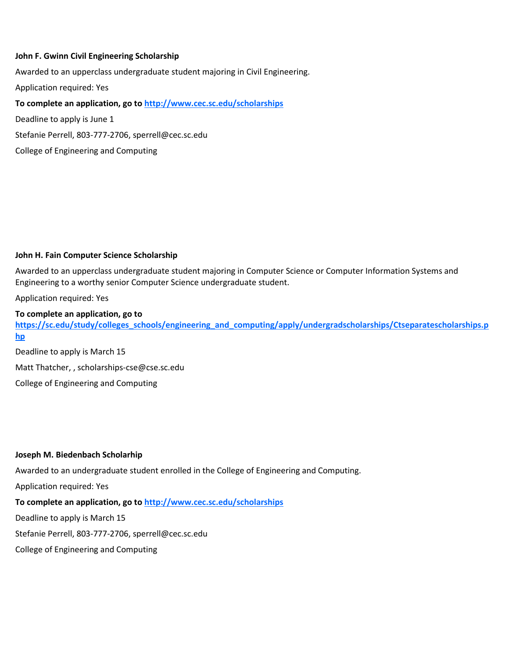### **John F. Gwinn Civil Engineering Scholarship**

Awarded to an upperclass undergraduate student majoring in Civil Engineering.

Application required: Yes

**To complete an application, go to http://www.cec.sc.edu/scholarships**

Deadline to apply is June 1

Stefanie Perrell, 803-777-2706, sperrell@cec.sc.edu

College of Engineering and Computing

### **John H. Fain Computer Science Scholarship**

Awarded to an upperclass undergraduate student majoring in Computer Science or Computer Information Systems and Engineering to a worthy senior Computer Science undergraduate student.

Application required: Yes

### **To complete an application, go to**

**https://sc.edu/study/colleges\_schools/engineering\_and\_computing/apply/undergradscholarships/Ctseparatescholarships.p hp**

Deadline to apply is March 15 Matt Thatcher, , scholarships-cse@cse.sc.edu College of Engineering and Computing

### **Joseph M. Biedenbach Scholarhip**

Awarded to an undergraduate student enrolled in the College of Engineering and Computing.

Application required: Yes

### **To complete an application, go to http://www.cec.sc.edu/scholarships**

Deadline to apply is March 15

Stefanie Perrell, 803-777-2706, sperrell@cec.sc.edu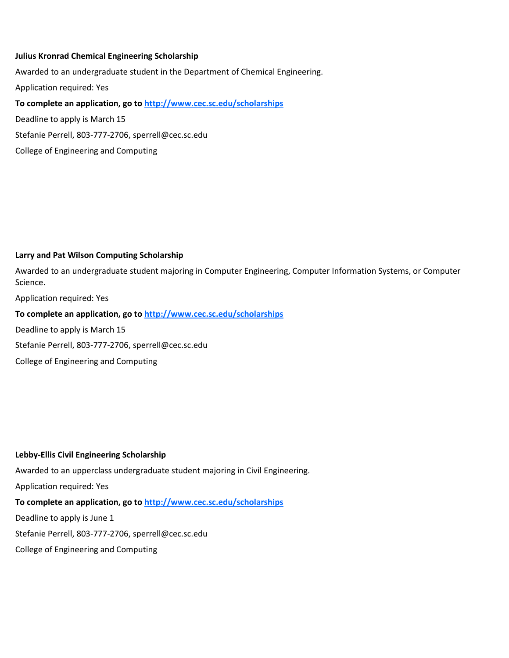### **Julius Kronrad Chemical Engineering Scholarship**

Awarded to an undergraduate student in the Department of Chemical Engineering. Application required: Yes **To complete an application, go to http://www.cec.sc.edu/scholarships** Deadline to apply is March 15

Stefanie Perrell, 803-777-2706, sperrell@cec.sc.edu

College of Engineering and Computing

### **Larry and Pat Wilson Computing Scholarship**

Awarded to an undergraduate student majoring in Computer Engineering, Computer Information Systems, or Computer Science.

Application required: Yes

**To complete an application, go to http://www.cec.sc.edu/scholarships**

Deadline to apply is March 15

Stefanie Perrell, 803-777-2706, sperrell@cec.sc.edu

College of Engineering and Computing

### **Lebby-Ellis Civil Engineering Scholarship**

Awarded to an upperclass undergraduate student majoring in Civil Engineering.

Application required: Yes

# **To complete an application, go to http://www.cec.sc.edu/scholarships**

Deadline to apply is June 1

Stefanie Perrell, 803-777-2706, sperrell@cec.sc.edu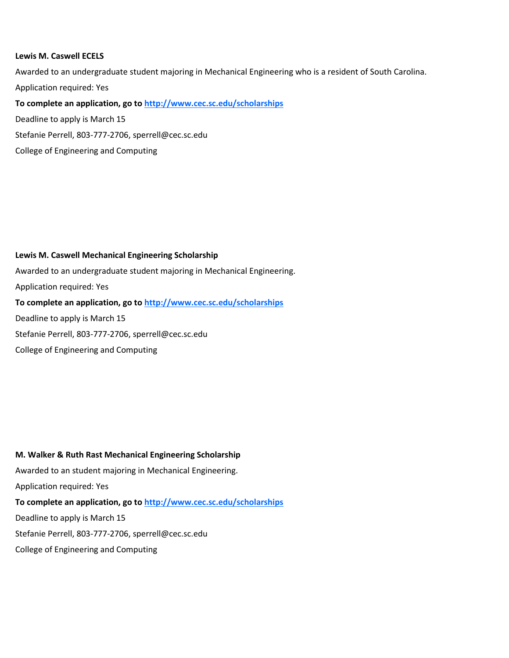### **Lewis M. Caswell ECELS**

Awarded to an undergraduate student majoring in Mechanical Engineering who is a resident of South Carolina. Application required: Yes **To complete an application, go to http://www.cec.sc.edu/scholarships** Deadline to apply is March 15

Stefanie Perrell, 803-777-2706, sperrell@cec.sc.edu

College of Engineering and Computing

### **Lewis M. Caswell Mechanical Engineering Scholarship**

Awarded to an undergraduate student majoring in Mechanical Engineering. Application required: Yes **To complete an application, go to http://www.cec.sc.edu/scholarships** Deadline to apply is March 15 Stefanie Perrell, 803-777-2706, sperrell@cec.sc.edu College of Engineering and Computing

**M. Walker & Ruth Rast Mechanical Engineering Scholarship** Awarded to an student majoring in Mechanical Engineering. Application required: Yes **To complete an application, go to http://www.cec.sc.edu/scholarships** Deadline to apply is March 15 Stefanie Perrell, 803-777-2706, sperrell@cec.sc.edu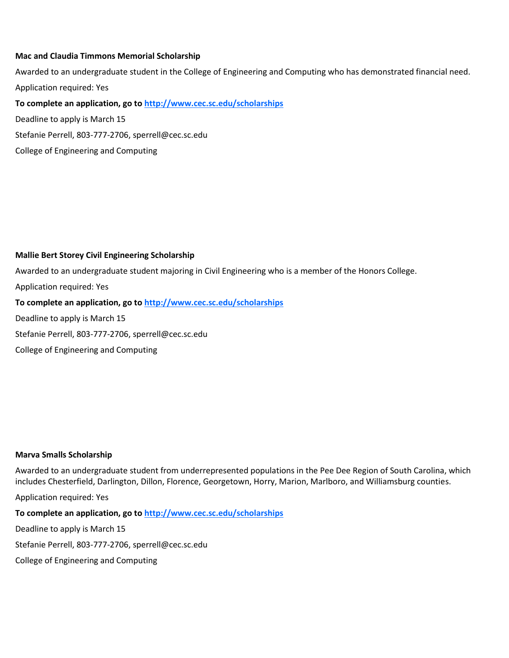### **Mac and Claudia Timmons Memorial Scholarship**

Awarded to an undergraduate student in the College of Engineering and Computing who has demonstrated financial need. Application required: Yes

**To complete an application, go to http://www.cec.sc.edu/scholarships**

Deadline to apply is March 15

Stefanie Perrell, 803-777-2706, sperrell@cec.sc.edu

College of Engineering and Computing

### **Mallie Bert Storey Civil Engineering Scholarship**

Awarded to an undergraduate student majoring in Civil Engineering who is a member of the Honors College.

Application required: Yes

**To complete an application, go to http://www.cec.sc.edu/scholarships**

Deadline to apply is March 15

Stefanie Perrell, 803-777-2706, sperrell@cec.sc.edu

College of Engineering and Computing

### **Marva Smalls Scholarship**

Awarded to an undergraduate student from underrepresented populations in the Pee Dee Region of South Carolina, which includes Chesterfield, Darlington, Dillon, Florence, Georgetown, Horry, Marion, Marlboro, and Williamsburg counties.

Application required: Yes

**To complete an application, go to http://www.cec.sc.edu/scholarships**

Deadline to apply is March 15

Stefanie Perrell, 803-777-2706, sperrell@cec.sc.edu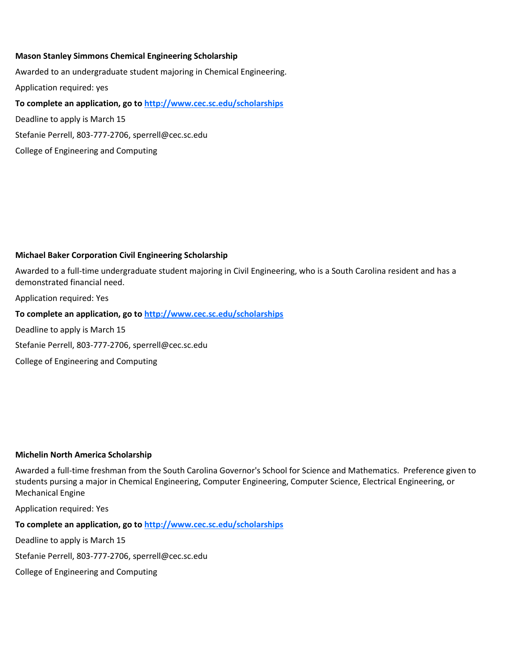### **Mason Stanley Simmons Chemical Engineering Scholarship**

Awarded to an undergraduate student majoring in Chemical Engineering. Application required: yes **To complete an application, go to http://www.cec.sc.edu/scholarships** Deadline to apply is March 15 Stefanie Perrell, 803-777-2706, sperrell@cec.sc.edu

College of Engineering and Computing

### **Michael Baker Corporation Civil Engineering Scholarship**

Awarded to a full-time undergraduate student majoring in Civil Engineering, who is a South Carolina resident and has a demonstrated financial need.

Application required: Yes

**To complete an application, go to http://www.cec.sc.edu/scholarships**

Deadline to apply is March 15

Stefanie Perrell, 803-777-2706, sperrell@cec.sc.edu

College of Engineering and Computing

### **Michelin North America Scholarship**

Awarded a full-time freshman from the South Carolina Governor's School for Science and Mathematics. Preference given to students pursing a major in Chemical Engineering, Computer Engineering, Computer Science, Electrical Engineering, or Mechanical Engine

Application required: Yes

**To complete an application, go to http://www.cec.sc.edu/scholarships**

Deadline to apply is March 15

Stefanie Perrell, 803-777-2706, sperrell@cec.sc.edu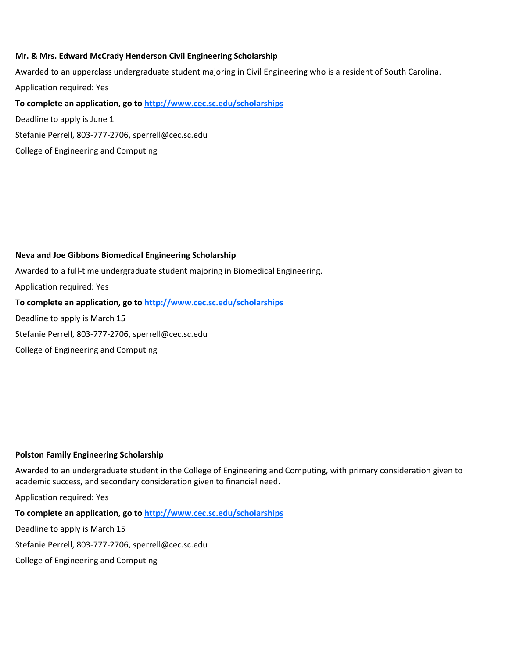### **Mr. & Mrs. Edward McCrady Henderson Civil Engineering Scholarship**

Awarded to an upperclass undergraduate student majoring in Civil Engineering who is a resident of South Carolina. Application required: Yes **To complete an application, go to http://www.cec.sc.edu/scholarships**

Deadline to apply is June 1

Stefanie Perrell, 803-777-2706, sperrell@cec.sc.edu

College of Engineering and Computing

### **Neva and Joe Gibbons Biomedical Engineering Scholarship**

Awarded to a full-time undergraduate student majoring in Biomedical Engineering.

Application required: Yes

### **To complete an application, go to http://www.cec.sc.edu/scholarships**

Deadline to apply is March 15

Stefanie Perrell, 803-777-2706, sperrell@cec.sc.edu

College of Engineering and Computing

### **Polston Family Engineering Scholarship**

Awarded to an undergraduate student in the College of Engineering and Computing, with primary consideration given to academic success, and secondary consideration given to financial need.

Application required: Yes

**To complete an application, go to http://www.cec.sc.edu/scholarships**

Deadline to apply is March 15

Stefanie Perrell, 803-777-2706, sperrell@cec.sc.edu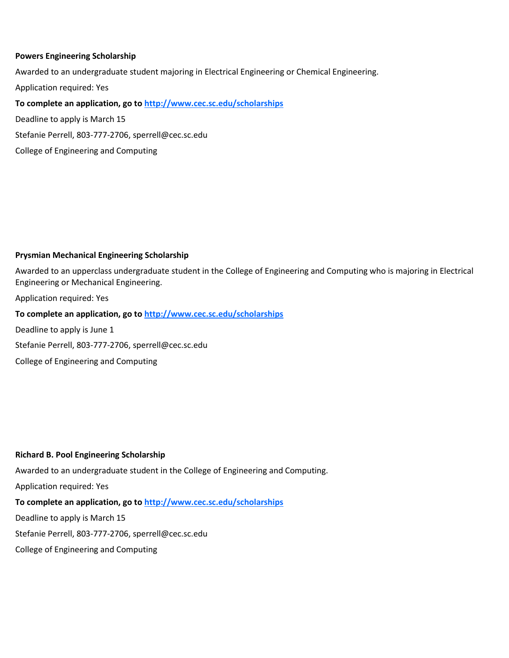### **Powers Engineering Scholarship**

Awarded to an undergraduate student majoring in Electrical Engineering or Chemical Engineering.

Application required: Yes

**To complete an application, go to http://www.cec.sc.edu/scholarships**

Deadline to apply is March 15

Stefanie Perrell, 803-777-2706, sperrell@cec.sc.edu

College of Engineering and Computing

### **Prysmian Mechanical Engineering Scholarship**

Awarded to an upperclass undergraduate student in the College of Engineering and Computing who is majoring in Electrical Engineering or Mechanical Engineering.

Application required: Yes

### **To complete an application, go to http://www.cec.sc.edu/scholarships**

Deadline to apply is June 1

Stefanie Perrell, 803-777-2706, sperrell@cec.sc.edu

College of Engineering and Computing

### **Richard B. Pool Engineering Scholarship**

Awarded to an undergraduate student in the College of Engineering and Computing.

Application required: Yes

# **To complete an application, go to http://www.cec.sc.edu/scholarships**

Deadline to apply is March 15

Stefanie Perrell, 803-777-2706, sperrell@cec.sc.edu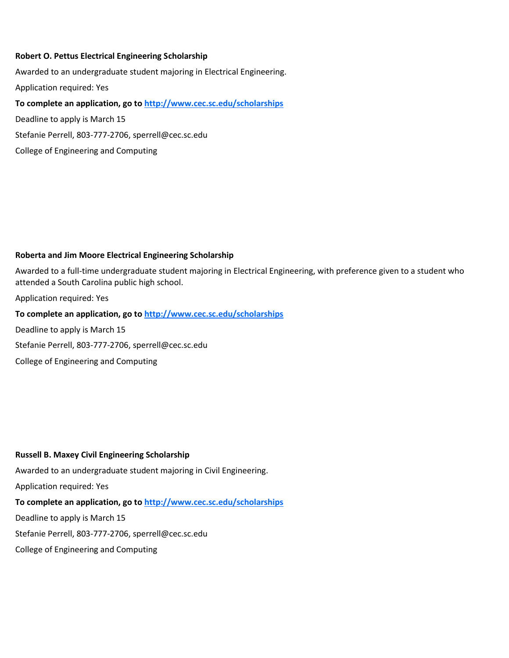### **Robert O. Pettus Electrical Engineering Scholarship**

Awarded to an undergraduate student majoring in Electrical Engineering. Application required: Yes **To complete an application, go to http://www.cec.sc.edu/scholarships** Deadline to apply is March 15 Stefanie Perrell, 803-777-2706, sperrell@cec.sc.edu

### **Roberta and Jim Moore Electrical Engineering Scholarship**

Awarded to a full-time undergraduate student majoring in Electrical Engineering, with preference given to a student who attended a South Carolina public high school.

Application required: Yes

**To complete an application, go to http://www.cec.sc.edu/scholarships**

Deadline to apply is March 15

Stefanie Perrell, 803-777-2706, sperrell@cec.sc.edu

College of Engineering and Computing

College of Engineering and Computing

### **Russell B. Maxey Civil Engineering Scholarship**

Awarded to an undergraduate student majoring in Civil Engineering.

Application required: Yes

#### **To complete an application, go to http://www.cec.sc.edu/scholarships**

Deadline to apply is March 15

Stefanie Perrell, 803-777-2706, sperrell@cec.sc.edu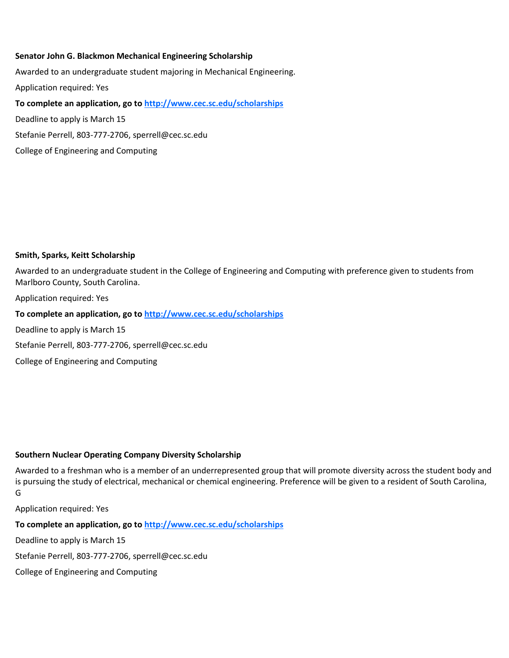### **Senator John G. Blackmon Mechanical Engineering Scholarship**

Awarded to an undergraduate student majoring in Mechanical Engineering. Application required: Yes **To complete an application, go to http://www.cec.sc.edu/scholarships** Deadline to apply is March 15 Stefanie Perrell, 803-777-2706, sperrell@cec.sc.edu

### **Smith, Sparks, Keitt Scholarship**

College of Engineering and Computing

Awarded to an undergraduate student in the College of Engineering and Computing with preference given to students from Marlboro County, South Carolina.

Application required: Yes

**To complete an application, go to http://www.cec.sc.edu/scholarships**

Deadline to apply is March 15

Stefanie Perrell, 803-777-2706, sperrell@cec.sc.edu

College of Engineering and Computing

#### **Southern Nuclear Operating Company Diversity Scholarship**

Awarded to a freshman who is a member of an underrepresented group that will promote diversity across the student body and is pursuing the study of electrical, mechanical or chemical engineering. Preference will be given to a resident of South Carolina, G

Application required: Yes

**To complete an application, go to http://www.cec.sc.edu/scholarships**

Deadline to apply is March 15

Stefanie Perrell, 803-777-2706, sperrell@cec.sc.edu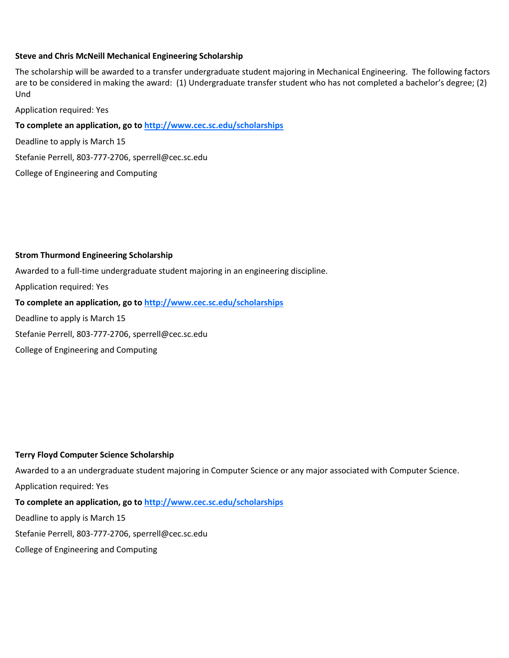### **Steve and Chris McNeill Mechanical Engineering Scholarship**

The scholarship will be awarded to a transfer undergraduate student majoring in Mechanical Engineering. The following factors are to be considered in making the award: (1) Undergraduate transfer student who has not completed a bachelor's degree; (2) Und

Application required: Yes

**To complete an application, go to http://www.cec.sc.edu/scholarships**

Deadline to apply is March 15

Stefanie Perrell, 803-777-2706, sperrell@cec.sc.edu

College of Engineering and Computing

### **Strom Thurmond Engineering Scholarship**

Awarded to a full-time undergraduate student majoring in an engineering discipline.

Application required: Yes

**To complete an application, go to http://www.cec.sc.edu/scholarships**

Deadline to apply is March 15

Stefanie Perrell, 803-777-2706, sperrell@cec.sc.edu

College of Engineering and Computing

### **Terry Floyd Computer Science Scholarship**

Awarded to a an undergraduate student majoring in Computer Science or any major associated with Computer Science. Application required: Yes

# **To complete an application, go to http://www.cec.sc.edu/scholarships**

Deadline to apply is March 15

Stefanie Perrell, 803-777-2706, sperrell@cec.sc.edu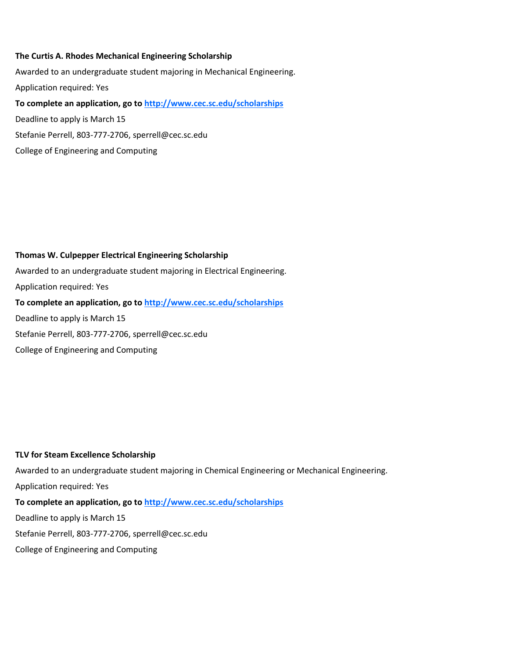### **The Curtis A. Rhodes Mechanical Engineering Scholarship**

College of Engineering and Computing

Awarded to an undergraduate student majoring in Mechanical Engineering. Application required: Yes **To complete an application, go to http://www.cec.sc.edu/scholarships** Deadline to apply is March 15 Stefanie Perrell, 803-777-2706, sperrell@cec.sc.edu

# **Thomas W. Culpepper Electrical Engineering Scholarship**

Awarded to an undergraduate student majoring in Electrical Engineering. Application required: Yes **To complete an application, go to http://www.cec.sc.edu/scholarships** Deadline to apply is March 15 Stefanie Perrell, 803-777-2706, sperrell@cec.sc.edu College of Engineering and Computing

#### **TLV for Steam Excellence Scholarship**

Awarded to an undergraduate student majoring in Chemical Engineering or Mechanical Engineering. Application required: Yes **To complete an application, go to http://www.cec.sc.edu/scholarships**

Deadline to apply is March 15

Stefanie Perrell, 803-777-2706, sperrell@cec.sc.edu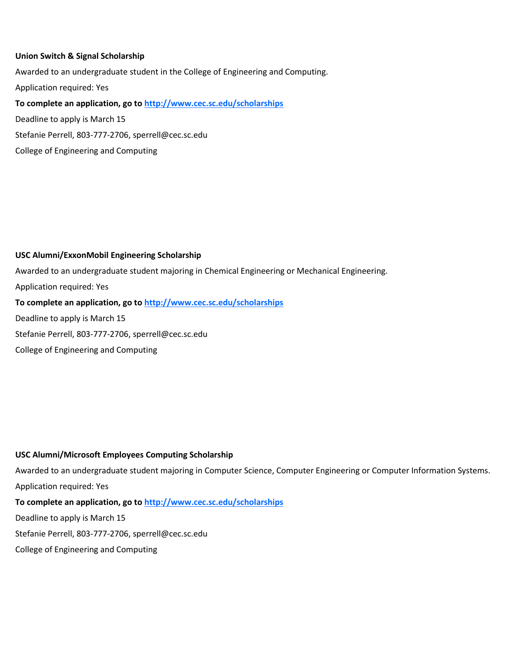### **Union Switch & Signal Scholarship**

College of Engineering and Computing

Awarded to an undergraduate student in the College of Engineering and Computing. Application required: Yes **To complete an application, go to http://www.cec.sc.edu/scholarships** Deadline to apply is March 15 Stefanie Perrell, 803-777-2706, sperrell@cec.sc.edu

### **USC Alumni/ExxonMobil Engineering Scholarship**

Awarded to an undergraduate student majoring in Chemical Engineering or Mechanical Engineering.

Application required: Yes

### **To complete an application, go to http://www.cec.sc.edu/scholarships**

Deadline to apply is March 15

Stefanie Perrell, 803-777-2706, sperrell@cec.sc.edu

College of Engineering and Computing

### **USC Alumni/Microsoft Employees Computing Scholarship**

Awarded to an undergraduate student majoring in Computer Science, Computer Engineering or Computer Information Systems. Application required: Yes

# **To complete an application, go to http://www.cec.sc.edu/scholarships**

Deadline to apply is March 15

Stefanie Perrell, 803-777-2706, sperrell@cec.sc.edu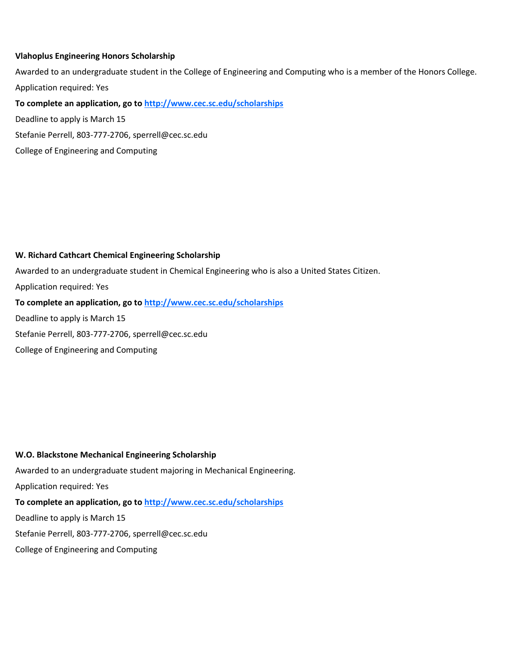### **Vlahoplus Engineering Honors Scholarship**

Awarded to an undergraduate student in the College of Engineering and Computing who is a member of the Honors College. Application required: Yes

**To complete an application, go to http://www.cec.sc.edu/scholarships**

Deadline to apply is March 15

Stefanie Perrell, 803-777-2706, sperrell@cec.sc.edu

College of Engineering and Computing

### **W. Richard Cathcart Chemical Engineering Scholarship**

Awarded to an undergraduate student in Chemical Engineering who is also a United States Citizen.

Application required: Yes

### **To complete an application, go to http://www.cec.sc.edu/scholarships**

Deadline to apply is March 15

Stefanie Perrell, 803-777-2706, sperrell@cec.sc.edu

College of Engineering and Computing

### **W.O. Blackstone Mechanical Engineering Scholarship**

Awarded to an undergraduate student majoring in Mechanical Engineering.

Application required: Yes

# **To complete an application, go to http://www.cec.sc.edu/scholarships**

Deadline to apply is March 15

Stefanie Perrell, 803-777-2706, sperrell@cec.sc.edu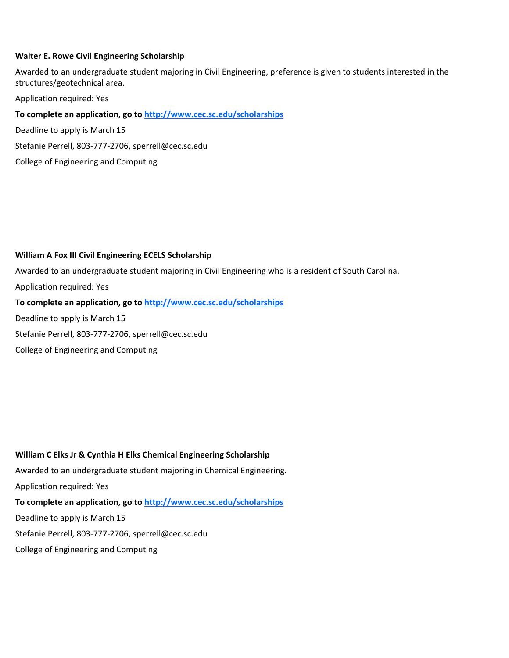### **Walter E. Rowe Civil Engineering Scholarship**

Awarded to an undergraduate student majoring in Civil Engineering, preference is given to students interested in the structures/geotechnical area.

Application required: Yes

**To complete an application, go to http://www.cec.sc.edu/scholarships**

Deadline to apply is March 15

Stefanie Perrell, 803-777-2706, sperrell@cec.sc.edu

College of Engineering and Computing

### **William A Fox III Civil Engineering ECELS Scholarship**

Awarded to an undergraduate student majoring in Civil Engineering who is a resident of South Carolina.

Application required: Yes

**To complete an application, go to http://www.cec.sc.edu/scholarships**

Deadline to apply is March 15

Stefanie Perrell, 803-777-2706, sperrell@cec.sc.edu

College of Engineering and Computing

**William C Elks Jr & Cynthia H Elks Chemical Engineering Scholarship** Awarded to an undergraduate student majoring in Chemical Engineering. Application required: Yes **To complete an application, go to http://www.cec.sc.edu/scholarships** Deadline to apply is March 15 Stefanie Perrell, 803-777-2706, sperrell@cec.sc.edu